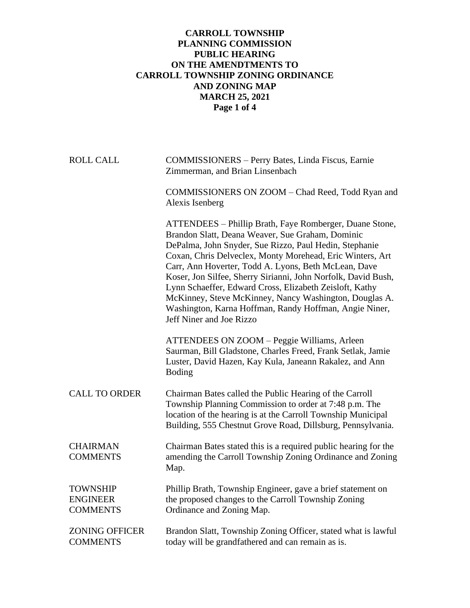## **CARROLL TOWNSHIP PLANNING COMMISSION PUBLIC HEARING ON THE AMENDTMENTS TO CARROLL TOWNSHIP ZONING ORDINANCE AND ZONING MAP MARCH 25, 2021 Page 1 of 4**

| <b>ROLL CALL</b>                                      | COMMISSIONERS - Perry Bates, Linda Fiscus, Earnie<br>Zimmerman, and Brian Linsenbach                                                                                                                                                                                                                                                                                                                                                                                                                                                                                   |
|-------------------------------------------------------|------------------------------------------------------------------------------------------------------------------------------------------------------------------------------------------------------------------------------------------------------------------------------------------------------------------------------------------------------------------------------------------------------------------------------------------------------------------------------------------------------------------------------------------------------------------------|
|                                                       | COMMISSIONERS ON ZOOM - Chad Reed, Todd Ryan and<br>Alexis Isenberg                                                                                                                                                                                                                                                                                                                                                                                                                                                                                                    |
|                                                       | ATTENDEES - Phillip Brath, Faye Romberger, Duane Stone,<br>Brandon Slatt, Deana Weaver, Sue Graham, Dominic<br>DePalma, John Snyder, Sue Rizzo, Paul Hedin, Stephanie<br>Coxan, Chris Delveclex, Monty Morehead, Eric Winters, Art<br>Carr, Ann Hoverter, Todd A. Lyons, Beth McLean, Dave<br>Koser, Jon Silfee, Sherry Sirianni, John Norfolk, David Bush,<br>Lynn Schaeffer, Edward Cross, Elizabeth Zeisloft, Kathy<br>McKinney, Steve McKinney, Nancy Washington, Douglas A.<br>Washington, Karna Hoffman, Randy Hoffman, Angie Niner,<br>Jeff Niner and Joe Rizzo |
|                                                       | ATTENDEES ON ZOOM - Peggie Williams, Arleen<br>Saurman, Bill Gladstone, Charles Freed, Frank Setlak, Jamie<br>Luster, David Hazen, Kay Kula, Janeann Rakalez, and Ann<br><b>Boding</b>                                                                                                                                                                                                                                                                                                                                                                                 |
| <b>CALL TO ORDER</b>                                  | Chairman Bates called the Public Hearing of the Carroll<br>Township Planning Commission to order at 7:48 p.m. The<br>location of the hearing is at the Carroll Township Municipal<br>Building, 555 Chestnut Grove Road, Dillsburg, Pennsylvania.                                                                                                                                                                                                                                                                                                                       |
| <b>CHAIRMAN</b><br><b>COMMENTS</b>                    | Chairman Bates stated this is a required public hearing for the<br>amending the Carroll Township Zoning Ordinance and Zoning<br>Map.                                                                                                                                                                                                                                                                                                                                                                                                                                   |
| <b>TOWNSHIP</b><br><b>ENGINEER</b><br><b>COMMENTS</b> | Phillip Brath, Township Engineer, gave a brief statement on<br>the proposed changes to the Carroll Township Zoning<br>Ordinance and Zoning Map.                                                                                                                                                                                                                                                                                                                                                                                                                        |
| <b>ZONING OFFICER</b><br><b>COMMENTS</b>              | Brandon Slatt, Township Zoning Officer, stated what is lawful<br>today will be grandfathered and can remain as is.                                                                                                                                                                                                                                                                                                                                                                                                                                                     |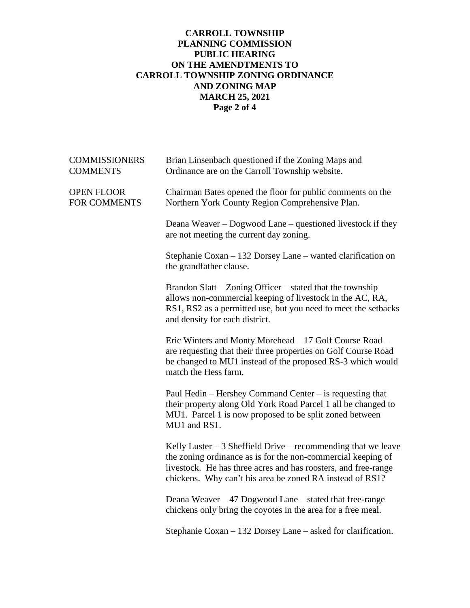## **CARROLL TOWNSHIP PLANNING COMMISSION PUBLIC HEARING ON THE AMENDTMENTS TO CARROLL TOWNSHIP ZONING ORDINANCE AND ZONING MAP MARCH 25, 2021 Page 2 of 4**

| <b>COMMISSIONERS</b><br><b>COMMENTS</b>  | Brian Linsenbach questioned if the Zoning Maps and<br>Ordinance are on the Carroll Township website.                                                                                                                                                         |
|------------------------------------------|--------------------------------------------------------------------------------------------------------------------------------------------------------------------------------------------------------------------------------------------------------------|
| <b>OPEN FLOOR</b><br><b>FOR COMMENTS</b> | Chairman Bates opened the floor for public comments on the<br>Northern York County Region Comprehensive Plan.                                                                                                                                                |
|                                          | Deana Weaver – Dogwood Lane – questioned livestock if they<br>are not meeting the current day zoning.                                                                                                                                                        |
|                                          | Stephanie Coxan – 132 Dorsey Lane – wanted clarification on<br>the grandfather clause.                                                                                                                                                                       |
|                                          | Brandon Slatt – Zoning Officer – stated that the township<br>allows non-commercial keeping of livestock in the AC, RA,<br>RS1, RS2 as a permitted use, but you need to meet the setbacks<br>and density for each district.                                   |
|                                          | Eric Winters and Monty Morehead - 17 Golf Course Road -<br>are requesting that their three properties on Golf Course Road<br>be changed to MU1 instead of the proposed RS-3 which would<br>match the Hess farm.                                              |
|                                          | Paul Hedin – Hershey Command Center – is requesting that<br>their property along Old York Road Parcel 1 all be changed to<br>MU1. Parcel 1 is now proposed to be split zoned between<br>MU1 and RS1.                                                         |
|                                          | Kelly Luster $-3$ Sheffield Drive – recommending that we leave<br>the zoning ordinance as is for the non-commercial keeping of<br>livestock. He has three acres and has roosters, and free-range<br>chickens. Why can't his area be zoned RA instead of RS1? |
|                                          | Deana Weaver $-47$ Dogwood Lane $-$ stated that free-range<br>chickens only bring the coyotes in the area for a free meal.                                                                                                                                   |
|                                          | Stephanie Coxan – 132 Dorsey Lane – asked for clarification.                                                                                                                                                                                                 |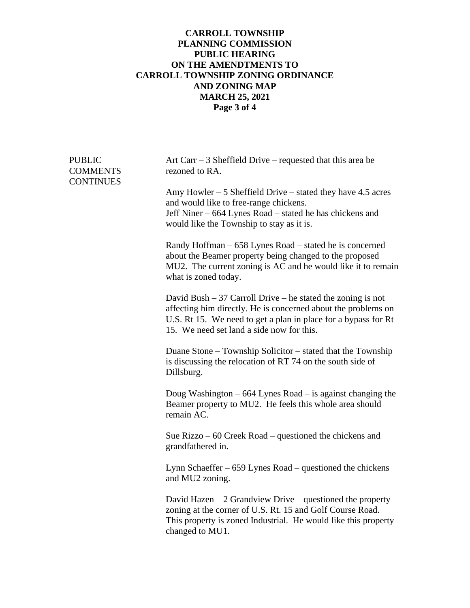## **CARROLL TOWNSHIP PLANNING COMMISSION PUBLIC HEARING ON THE AMENDTMENTS TO CARROLL TOWNSHIP ZONING ORDINANCE AND ZONING MAP MARCH 25, 2021 Page 3 of 4**

| <b>PUBLIC</b><br><b>COMMENTS</b><br><b>CONTINUES</b> | Art Carr $-3$ Sheffield Drive – requested that this area be<br>rezoned to RA.<br>Amy Howler $-5$ Sheffield Drive $-$ stated they have 4.5 acres<br>and would like to free-range chickens.<br>Jeff Niner - 664 Lynes Road - stated he has chickens and<br>would like the Township to stay as it is. |
|------------------------------------------------------|----------------------------------------------------------------------------------------------------------------------------------------------------------------------------------------------------------------------------------------------------------------------------------------------------|
|                                                      | Randy Hoffman – 658 Lynes Road – stated he is concerned<br>about the Beamer property being changed to the proposed<br>MU2. The current zoning is AC and he would like it to remain<br>what is zoned today.                                                                                         |
|                                                      | David Bush $-37$ Carroll Drive – he stated the zoning is not<br>affecting him directly. He is concerned about the problems on<br>U.S. Rt 15. We need to get a plan in place for a bypass for Rt<br>15. We need set land a side now for this.                                                       |
|                                                      | Duane Stone – Township Solicitor – stated that the Township<br>is discussing the relocation of RT 74 on the south side of<br>Dillsburg.                                                                                                                                                            |
|                                                      | Doug Washington $-664$ Lynes Road $-$ is against changing the<br>Beamer property to MU2. He feels this whole area should<br>remain AC.                                                                                                                                                             |
|                                                      | Sue Rizzo $-60$ Creek Road $-$ questioned the chickens and<br>grandfathered in.                                                                                                                                                                                                                    |
|                                                      | Lynn Schaeffer – 659 Lynes Road – questioned the chickens<br>and MU2 zoning.                                                                                                                                                                                                                       |
|                                                      | David Hazen $-2$ Grandview Drive – questioned the property<br>zoning at the corner of U.S. Rt. 15 and Golf Course Road.<br>This property is zoned Industrial. He would like this property<br>changed to MU1.                                                                                       |